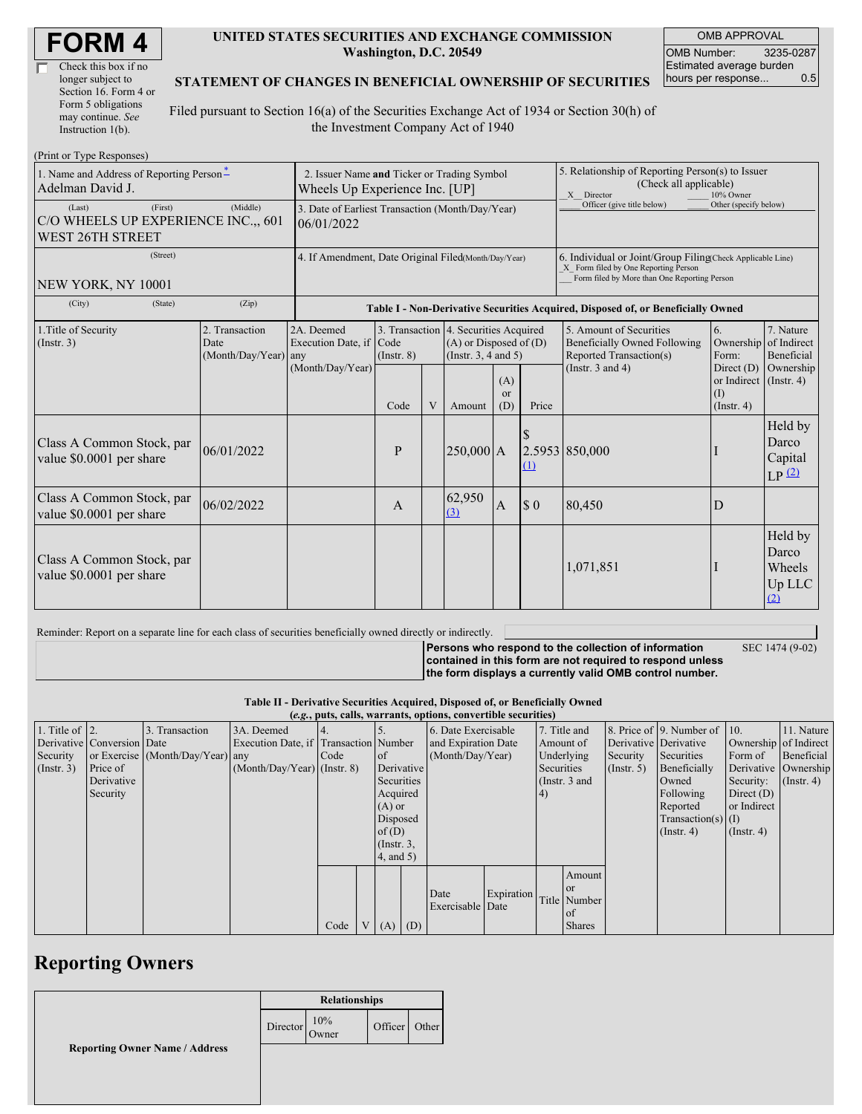| <b>FORM4</b> |
|--------------|
|--------------|

| Check this box if no  |
|-----------------------|
| longer subject to     |
| Section 16. Form 4 or |
| Form 5 obligations    |
| may continue. See     |
| Instruction 1(b).     |

#### **UNITED STATES SECURITIES AND EXCHANGE COMMISSION Washington, D.C. 20549**

OMB APPROVAL OMB Number: 3235-0287 Estimated average burden hours per response... 0.5

#### **STATEMENT OF CHANGES IN BENEFICIAL OWNERSHIP OF SECURITIES**

Filed pursuant to Section 16(a) of the Securities Exchange Act of 1934 or Section 30(h) of the Investment Company Act of 1940

| (Print or Type Responses)                                                             |                                                                               |                                  |                                                                                  |   |                                                                                                 |                         |                                                                                                                                                    |                                                                                           |                                                        |                                             |
|---------------------------------------------------------------------------------------|-------------------------------------------------------------------------------|----------------------------------|----------------------------------------------------------------------------------|---|-------------------------------------------------------------------------------------------------|-------------------------|----------------------------------------------------------------------------------------------------------------------------------------------------|-------------------------------------------------------------------------------------------|--------------------------------------------------------|---------------------------------------------|
| 1. Name and Address of Reporting Person-<br>Adelman David J.                          | 2. Issuer Name and Ticker or Trading Symbol<br>Wheels Up Experience Inc. [UP] |                                  |                                                                                  |   |                                                                                                 |                         | 5. Relationship of Reporting Person(s) to Issuer<br>(Check all applicable)<br>X Director<br>10% Owner                                              |                                                                                           |                                                        |                                             |
| (First)<br>(Last)<br>C/O WHEELS UP EXPERIENCE INC.,, 601<br>WEST 26TH STREET          | 3. Date of Earliest Transaction (Month/Day/Year)<br>06/01/2022                |                                  |                                                                                  |   |                                                                                                 |                         | Officer (give title below)                                                                                                                         | Other (specify below)                                                                     |                                                        |                                             |
| (Street)<br>NEW YORK, NY 10001                                                        | 4. If Amendment, Date Original Filed(Month/Day/Year)                          |                                  |                                                                                  |   |                                                                                                 |                         | 6. Individual or Joint/Group Filing(Check Applicable Line)<br>X Form filed by One Reporting Person<br>Form filed by More than One Reporting Person |                                                                                           |                                                        |                                             |
| (City)<br>(State)                                                                     | (Zip)                                                                         |                                  | Table I - Non-Derivative Securities Acquired, Disposed of, or Beneficially Owned |   |                                                                                                 |                         |                                                                                                                                                    |                                                                                           |                                                        |                                             |
| 2. Transaction<br>1. Title of Security<br>(Insert. 3)<br>Date<br>(Month/Day/Year) any |                                                                               | 2A. Deemed<br>Execution Date, if | Code<br>$($ Instr. $8)$                                                          |   | 3. Transaction 4. Securities Acquired<br>$(A)$ or Disposed of $(D)$<br>(Instr. $3, 4$ and $5$ ) |                         |                                                                                                                                                    | 5. Amount of Securities<br><b>Beneficially Owned Following</b><br>Reported Transaction(s) | 6.<br>Ownership<br>Form:                               | 7. Nature<br>of Indirect<br>Beneficial      |
|                                                                                       |                                                                               | (Month/Day/Year)                 | Code                                                                             | V | Amount                                                                                          | (A)<br><b>or</b><br>(D) | Price                                                                                                                                              | (Instr. $3$ and $4$ )                                                                     | Direct $(D)$<br>or Indirect<br>(1)<br>$($ Instr. 4 $)$ | Ownership<br>$($ Instr. 4 $)$               |
| Class A Common Stock, par<br>value \$0.0001 per share                                 | 06/01/2022                                                                    |                                  | P                                                                                |   | $ 250,000 $ A                                                                                   |                         | <sup>\$</sup><br>(1)                                                                                                                               | 2.5953 850,000                                                                            |                                                        | Held by<br>Darco<br>Capital<br>LP(2)        |
| Class A Common Stock, par<br>value \$0.0001 per share                                 | 06/02/2022                                                                    |                                  | $\mathbf{A}$                                                                     |   | 62,950<br>(3)                                                                                   | $\mathbf{A}$            | $\sqrt{ }$                                                                                                                                         | 80,450                                                                                    | D                                                      |                                             |
| Class A Common Stock, par<br>value \$0.0001 per share                                 |                                                                               |                                  |                                                                                  |   |                                                                                                 |                         |                                                                                                                                                    | 1,071,851                                                                                 |                                                        | Held by<br>Darco<br>Wheels<br>Up LLC<br>(2) |

Reminder: Report on a separate line for each class of securities beneficially owned directly or indirectly.

SEC 1474 (9-02)

**Persons who respond to the collection of information contained in this form are not required to respond unless the form displays a currently valid OMB control number.**

**Table II - Derivative Securities Acquired, Disposed of, or Beneficially Owned**

|                        | (e.g., puts, calls, warrants, options, convertible securities) |                                  |                                       |      |  |                 |                     |                     |            |            |               |                       |                              |                      |                  |
|------------------------|----------------------------------------------------------------|----------------------------------|---------------------------------------|------|--|-----------------|---------------------|---------------------|------------|------------|---------------|-----------------------|------------------------------|----------------------|------------------|
| 1. Title of $\vert$ 2. |                                                                | 3. Transaction                   | 3A. Deemed                            |      |  |                 |                     | 6. Date Exercisable |            |            | 7. Title and  |                       | 8. Price of 9. Number of 10. |                      | 11. Nature       |
|                        | Derivative Conversion Date                                     |                                  | Execution Date, if Transaction Number |      |  |                 | and Expiration Date |                     |            | Amount of  |               | Derivative Derivative | Ownership of Indirect        |                      |                  |
| Security               |                                                                | or Exercise (Month/Day/Year) any |                                       | Code |  | $\circ$ f       | (Month/Day/Year)    |                     |            | Underlying | Security      | Securities            | Form of                      | Beneficial           |                  |
| (Insert. 3)            | Price of                                                       |                                  | $(Month/Day/Year)$ (Instr. 8)         |      |  | Derivative      |                     |                     |            | Securities |               | $($ Instr. 5 $)$      | Beneficially                 | Derivative Ownership |                  |
|                        | Derivative                                                     |                                  |                                       |      |  | Securities      |                     |                     |            |            | (Instr. 3 and |                       | Owned                        | Security:            | $($ Instr. 4 $)$ |
|                        | Security                                                       |                                  |                                       |      |  | Acquired        |                     |                     |            | (4)        |               |                       | Following                    | Direct $(D)$         |                  |
|                        |                                                                |                                  |                                       |      |  | $(A)$ or        |                     |                     |            |            |               |                       | Reported                     | or Indirect          |                  |
|                        |                                                                |                                  |                                       |      |  | Disposed        |                     |                     |            |            |               |                       | Transaction(s) $(I)$         |                      |                  |
|                        |                                                                |                                  |                                       |      |  | of $(D)$        |                     |                     |            |            |               |                       | $($ Instr. 4 $)$             | $($ Instr. 4 $)$     |                  |
|                        |                                                                |                                  |                                       |      |  | $($ Instr. $3,$ |                     |                     |            |            |               |                       |                              |                      |                  |
|                        |                                                                |                                  |                                       |      |  | 4, and 5)       |                     |                     |            |            |               |                       |                              |                      |                  |
|                        |                                                                |                                  |                                       |      |  |                 |                     |                     |            |            | Amount        |                       |                              |                      |                  |
|                        |                                                                |                                  |                                       |      |  |                 |                     | Date                |            |            | or            |                       |                              |                      |                  |
|                        |                                                                |                                  |                                       |      |  |                 |                     | Exercisable Date    | Expiration |            | Title Number  |                       |                              |                      |                  |
|                        |                                                                |                                  |                                       |      |  |                 |                     |                     |            |            | of            |                       |                              |                      |                  |
|                        |                                                                |                                  |                                       | Code |  | $V(A)$ (D)      |                     |                     |            |            | <b>Shares</b> |                       |                              |                      |                  |

# **Reporting Owners**

|                                       | <b>Relationships</b> |              |         |       |  |
|---------------------------------------|----------------------|--------------|---------|-------|--|
|                                       | Director             | 10%<br>Owner | Officer | Other |  |
| <b>Reporting Owner Name / Address</b> |                      |              |         |       |  |